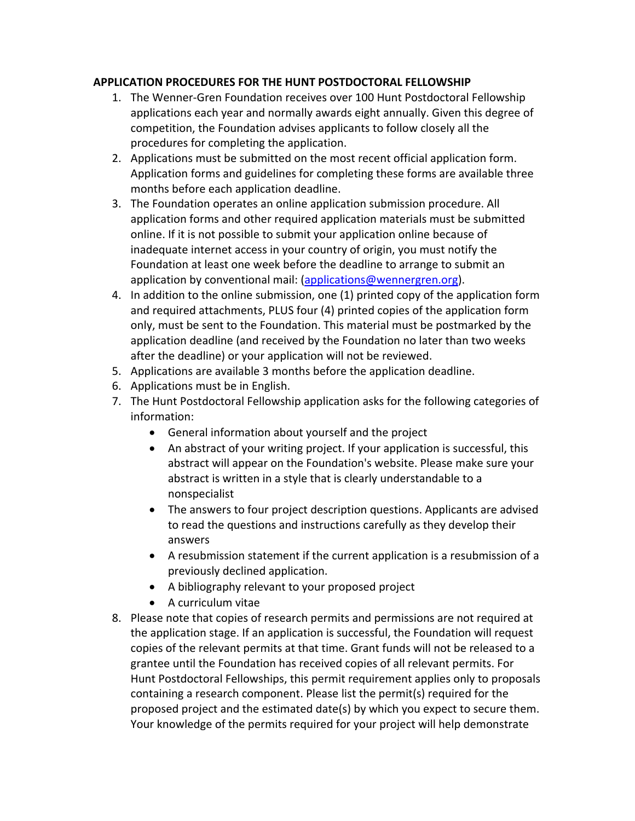## **APPLICATION PROCEDURES FOR THE HUNT POSTDOCTORAL FELLOWSHIP**

- 1. The Wenner‐Gren Foundation receives over 100 Hunt Postdoctoral Fellowship applications each year and normally awards eight annually. Given this degree of competition, the Foundation advises applicants to follow closely all the procedures for completing the application.
- 2. Applications must be submitted on the most recent official application form. Application forms and guidelines for completing these forms are available three months before each application deadline.
- 3. The Foundation operates an online application submission procedure. All application forms and other required application materials must be submitted online. If it is not possible to submit your application online because of inadequate internet access in your country of origin, you must notify the Foundation at least one week before the deadline to arrange to submit an application by conventional mail: (applications@wennergren.org).
- 4. In addition to the online submission, one (1) printed copy of the application form and required attachments, PLUS four (4) printed copies of the application form only, must be sent to the Foundation. This material must be postmarked by the application deadline (and received by the Foundation no later than two weeks after the deadline) or your application will not be reviewed.
- 5. Applications are available 3 months before the application deadline.
- 6. Applications must be in English.
- 7. The Hunt Postdoctoral Fellowship application asks for the following categories of information:
	- General information about yourself and the project
	- An abstract of your writing project. If your application is successful, this abstract will appear on the Foundation's website. Please make sure your abstract is written in a style that is clearly understandable to a nonspecialist
	- The answers to four project description questions. Applicants are advised to read the questions and instructions carefully as they develop their answers
	- A resubmission statement if the current application is a resubmission of a previously declined application.
	- A bibliography relevant to your proposed project
	- A curriculum vitae
- 8. Please note that copies of research permits and permissions are not required at the application stage. If an application is successful, the Foundation will request copies of the relevant permits at that time. Grant funds will not be released to a grantee until the Foundation has received copies of all relevant permits. For Hunt Postdoctoral Fellowships, this permit requirement applies only to proposals containing a research component. Please list the permit(s) required for the proposed project and the estimated date(s) by which you expect to secure them. Your knowledge of the permits required for your project will help demonstrate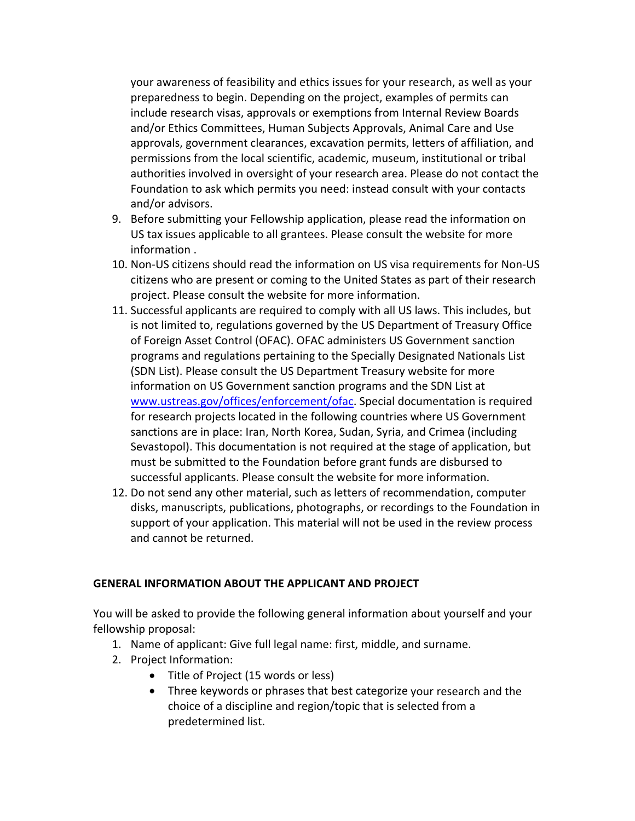your awareness of feasibility and ethics issues for your research, as well as your preparedness to begin. Depending on the project, examples of permits can include research visas, approvals or exemptions from Internal Review Boards and/or Ethics Committees, Human Subjects Approvals, Animal Care and Use approvals, government clearances, excavation permits, letters of affiliation, and permissions from the local scientific, academic, museum, institutional or tribal authorities involved in oversight of your research area. Please do not contact the Foundation to ask which permits you need: instead consult with your contacts and/or advisors.

- 9. Before submitting your Fellowship application, please read the information on US tax issues applicable to all grantees. Please consult the website for more information .
- 10. Non‐US citizens should read the information on US visa requirements for Non‐US citizens who are present or coming to the United States as part of their research project. Please consult the website for more information.
- 11. Successful applicants are required to comply with all US laws. This includes, but is not limited to, regulations governed by the US Department of Treasury Office of Foreign Asset Control (OFAC). OFAC administers US Government sanction programs and regulations pertaining to the Specially Designated Nationals List (SDN List). Please consult the US Department Treasury website for more information on US Government sanction programs and the SDN List at www.ustreas.gov/offices/enforcement/ofac. Special documentation is required for research projects located in the following countries where US Government sanctions are in place: Iran, North Korea, Sudan, Syria, and Crimea (including Sevastopol). This documentation is not required at the stage of application, but must be submitted to the Foundation before grant funds are disbursed to successful applicants. Please consult the website for more information.
- 12. Do not send any other material, such as letters of recommendation, computer disks, manuscripts, publications, photographs, or recordings to the Foundation in support of your application. This material will not be used in the review process and cannot be returned.

### **GENERAL INFORMATION ABOUT THE APPLICANT AND PROJECT**

You will be asked to provide the following general information about yourself and your fellowship proposal:

- 1. Name of applicant: Give full legal name: first, middle, and surname.
- 2. Project Information:
	- Title of Project (15 words or less)
	- Three keywords or phrases that best categorize your research and the choice of a discipline and region/topic that is selected from a predetermined list.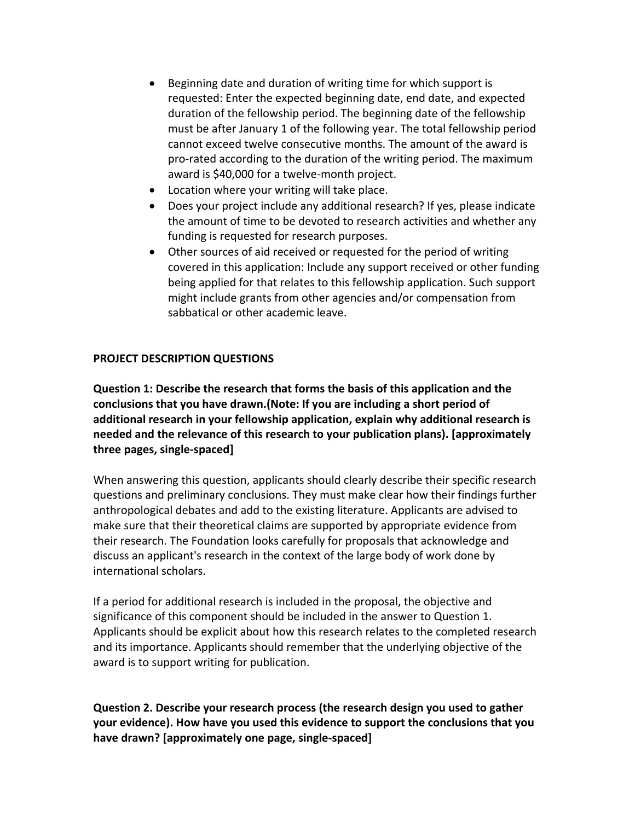- Beginning date and duration of writing time for which support is requested: Enter the expected beginning date, end date, and expected duration of the fellowship period. The beginning date of the fellowship must be after January 1 of the following year. The total fellowship period cannot exceed twelve consecutive months. The amount of the award is pro‐rated according to the duration of the writing period. The maximum award is \$40,000 for a twelve‐month project.
- Location where your writing will take place.
- Does your project include any additional research? If yes, please indicate the amount of time to be devoted to research activities and whether any funding is requested for research purposes.
- Other sources of aid received or requested for the period of writing covered in this application: Include any support received or other funding being applied for that relates to this fellowship application. Such support might include grants from other agencies and/or compensation from sabbatical or other academic leave.

## **PROJECT DESCRIPTION QUESTIONS**

**Question 1: Describe the research that forms the basis of this application and the conclusions that you have drawn.(Note: If you are including a short period of additional research in your fellowship application, explain why additional research is needed and the relevance of this research to your publication plans). [approximately three pages, single‐spaced]**

When answering this question, applicants should clearly describe their specific research questions and preliminary conclusions. They must make clear how their findings further anthropological debates and add to the existing literature. Applicants are advised to make sure that their theoretical claims are supported by appropriate evidence from their research. The Foundation looks carefully for proposals that acknowledge and discuss an applicant's research in the context of the large body of work done by international scholars.

If a period for additional research is included in the proposal, the objective and significance of this component should be included in the answer to Question 1. Applicants should be explicit about how this research relates to the completed research and its importance. Applicants should remember that the underlying objective of the award is to support writing for publication.

**Question 2. Describe your research process (the research design you used to gather your evidence). How have you used this evidence to support the conclusions that you have drawn? [approximately one page, single‐spaced]**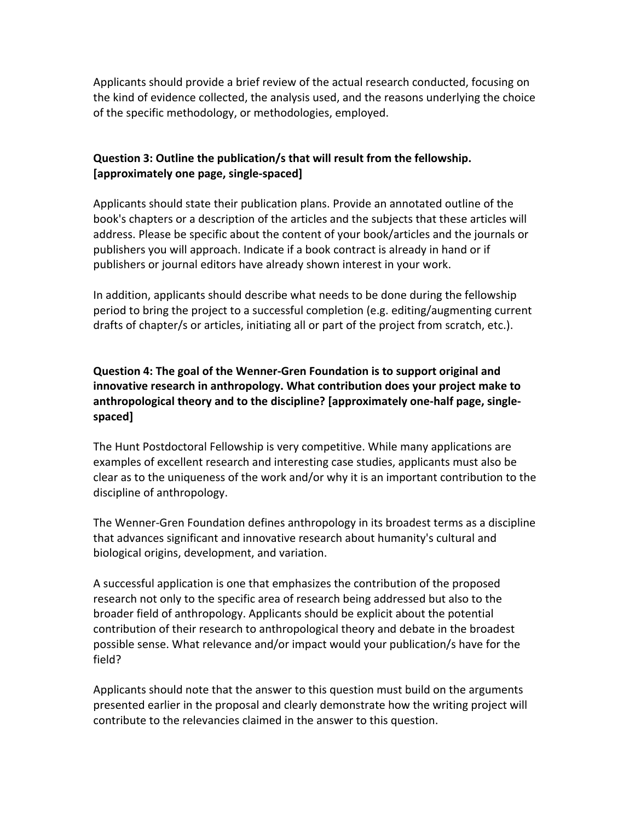Applicants should provide a brief review of the actual research conducted, focusing on the kind of evidence collected, the analysis used, and the reasons underlying the choice of the specific methodology, or methodologies, employed.

## **Question 3: Outline the publication/s that will result from the fellowship. [approximately one page, single‐spaced]**

Applicants should state their publication plans. Provide an annotated outline of the book's chapters or a description of the articles and the subjects that these articles will address. Please be specific about the content of your book/articles and the journals or publishers you will approach. Indicate if a book contract is already in hand or if publishers or journal editors have already shown interest in your work.

In addition, applicants should describe what needs to be done during the fellowship period to bring the project to a successful completion (e.g. editing/augmenting current drafts of chapter/s or articles, initiating all or part of the project from scratch, etc.).

# **Question 4: The goal of the Wenner‐Gren Foundation is to support original and innovative research in anthropology. What contribution does your project make to anthropological theory and to the discipline? [approximately one‐half page, single‐ spaced]**

The Hunt Postdoctoral Fellowship is very competitive. While many applications are examples of excellent research and interesting case studies, applicants must also be clear as to the uniqueness of the work and/or why it is an important contribution to the discipline of anthropology.

The Wenner‐Gren Foundation defines anthropology in its broadest terms as a discipline that advances significant and innovative research about humanity's cultural and biological origins, development, and variation.

A successful application is one that emphasizes the contribution of the proposed research not only to the specific area of research being addressed but also to the broader field of anthropology. Applicants should be explicit about the potential contribution of their research to anthropological theory and debate in the broadest possible sense. What relevance and/or impact would your publication/s have for the field?

Applicants should note that the answer to this question must build on the arguments presented earlier in the proposal and clearly demonstrate how the writing project will contribute to the relevancies claimed in the answer to this question.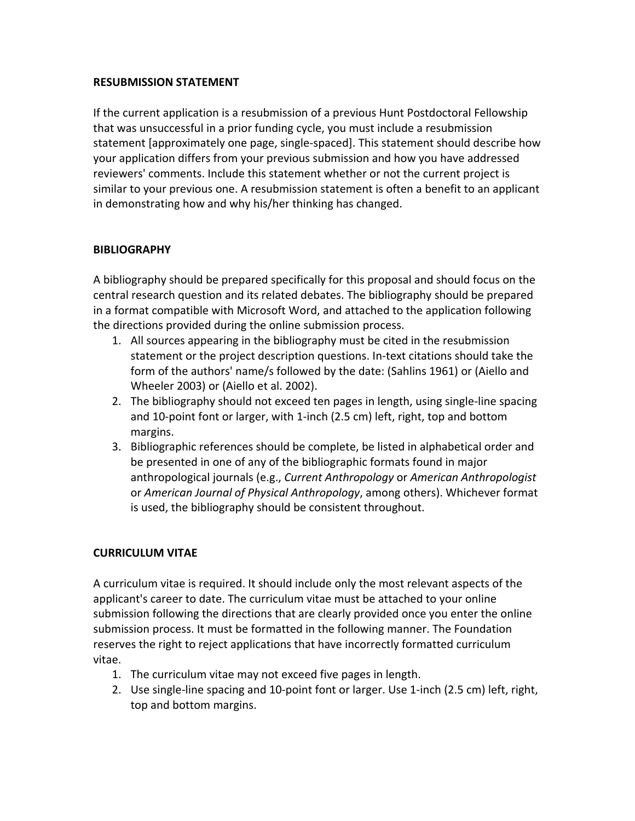### **RESUBMISSION STATEMENT**

If the current application is a resubmission of a previous Hunt Postdoctoral Fellowship that was unsuccessful in a prior funding cycle, you must include a resubmission statement [approximately one page, single‐spaced]. This statement should describe how your application differs from your previous submission and how you have addressed reviewers' comments. Include this statement whether or not the current project is similar to your previous one. A resubmission statement is often a benefit to an applicant in demonstrating how and why his/her thinking has changed.

## **BIBLIOGRAPHY**

A bibliography should be prepared specifically for this proposal and should focus on the central research question and its related debates. The bibliography should be prepared in a format compatible with Microsoft Word, and attached to the application following the directions provided during the online submission process.

- 1. All sources appearing in the bibliography must be cited in the resubmission statement or the project description questions. In‐text citations should take the form of the authors' name/s followed by the date: (Sahlins 1961) or (Aiello and Wheeler 2003) or (Aiello et al. 2002).
- 2. The bibliography should not exceed ten pages in length, using single‐line spacing and 10‐point font or larger, with 1‐inch (2.5 cm) left, right, top and bottom margins.
- 3. Bibliographic references should be complete, be listed in alphabetical order and be presented in one of any of the bibliographic formats found in major anthropological journals (e.g., *Current Anthropology* or *American Anthropologist* or *American Journal of Physical Anthropology*, among others). Whichever format is used, the bibliography should be consistent throughout.

## **CURRICULUM VITAE**

A curriculum vitae is required. It should include only the most relevant aspects of the applicant's career to date. The curriculum vitae must be attached to your online submission following the directions that are clearly provided once you enter the online submission process. It must be formatted in the following manner. The Foundation reserves the right to reject applications that have incorrectly formatted curriculum vitae.

- 1. The curriculum vitae may not exceed five pages in length.
- 2. Use single‐line spacing and 10‐point font or larger. Use 1‐inch (2.5 cm) left, right, top and bottom margins.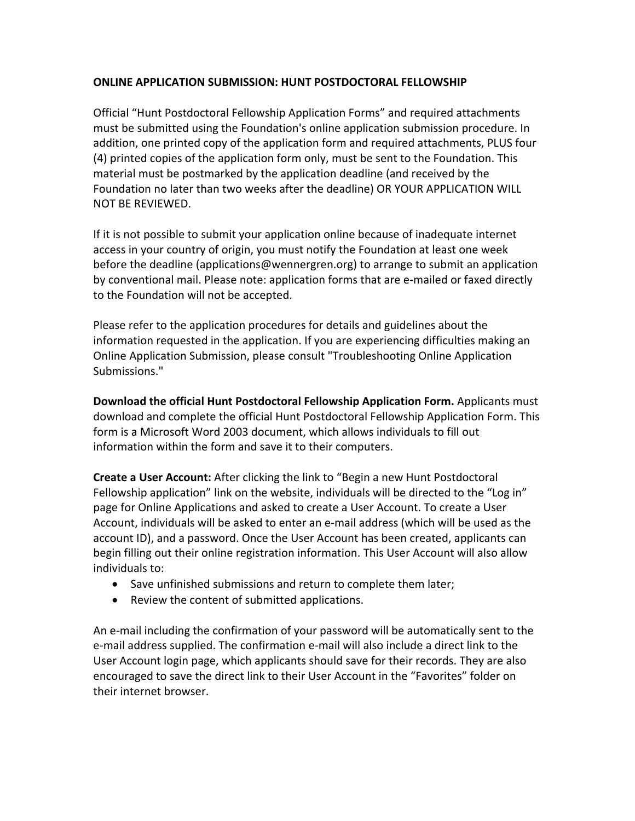### **ONLINE APPLICATION SUBMISSION: HUNT POSTDOCTORAL FELLOWSHIP**

Official "Hunt Postdoctoral Fellowship Application Forms" and required attachments must be submitted using the Foundation's online application submission procedure. In addition, one printed copy of the application form and required attachments, PLUS four (4) printed copies of the application form only, must be sent to the Foundation. This material must be postmarked by the application deadline (and received by the Foundation no later than two weeks after the deadline) OR YOUR APPLICATION WILL NOT BE REVIEWED.

If it is not possible to submit your application online because of inadequate internet access in your country of origin, you must notify the Foundation at least one week before the deadline (applications@wennergren.org) to arrange to submit an application by conventional mail. Please note: application forms that are e‐mailed or faxed directly to the Foundation will not be accepted.

Please refer to the application procedures for details and guidelines about the information requested in the application. If you are experiencing difficulties making an Online Application Submission, please consult "Troubleshooting Online Application Submissions."

**Download the official Hunt Postdoctoral Fellowship Application Form.** Applicants must download and complete the official Hunt Postdoctoral Fellowship Application Form. This form is a Microsoft Word 2003 document, which allows individuals to fill out information within the form and save it to their computers.

**Create a User Account:** After clicking the link to "Begin a new Hunt Postdoctoral Fellowship application" link on the website, individuals will be directed to the "Log in" page for Online Applications and asked to create a User Account. To create a User Account, individuals will be asked to enter an e‐mail address (which will be used as the account ID), and a password. Once the User Account has been created, applicants can begin filling out their online registration information. This User Account will also allow individuals to:

- Save unfinished submissions and return to complete them later;
- Review the content of submitted applications.

An e-mail including the confirmation of your password will be automatically sent to the e‐mail address supplied. The confirmation e‐mail will also include a direct link to the User Account login page, which applicants should save for their records. They are also encouraged to save the direct link to their User Account in the "Favorites" folder on their internet browser.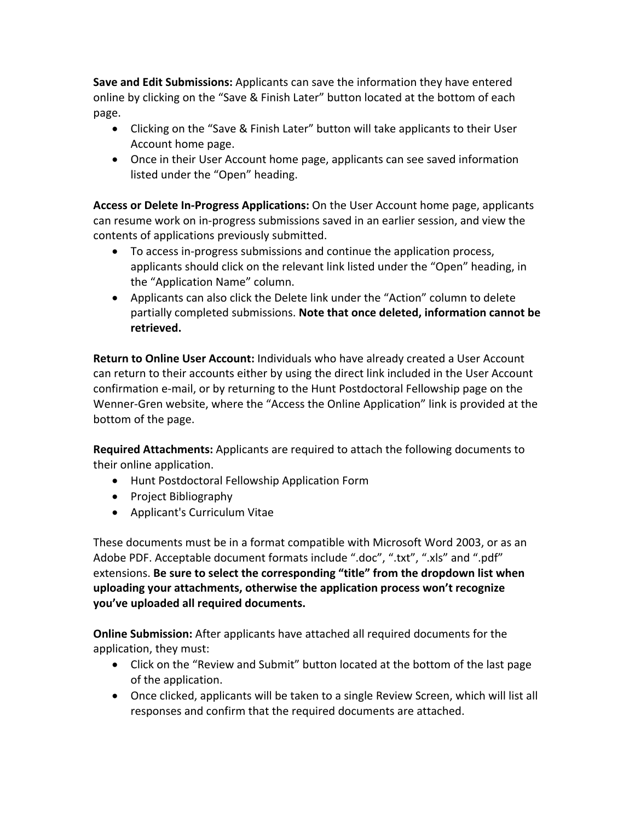**Save and Edit Submissions:** Applicants can save the information they have entered online by clicking on the "Save & Finish Later" button located at the bottom of each page.

- Clicking on the "Save & Finish Later" button will take applicants to their User Account home page.
- Once in their User Account home page, applicants can see saved information listed under the "Open" heading.

**Access or Delete In‐Progress Applications:** On the User Account home page, applicants can resume work on in‐progress submissions saved in an earlier session, and view the contents of applications previously submitted.

- To access in‐progress submissions and continue the application process, applicants should click on the relevant link listed under the "Open" heading, in the "Application Name" column.
- Applicants can also click the Delete link under the "Action" column to delete partially completed submissions. **Note that once deleted, information cannot be retrieved.**

**Return to Online User Account:** Individuals who have already created a User Account can return to their accounts either by using the direct link included in the User Account confirmation e‐mail, or by returning to the Hunt Postdoctoral Fellowship page on the Wenner‐Gren website, where the "Access the Online Application" link is provided at the bottom of the page.

**Required Attachments:** Applicants are required to attach the following documents to their online application.

- Hunt Postdoctoral Fellowship Application Form
- Project Bibliography
- Applicant's Curriculum Vitae

These documents must be in a format compatible with Microsoft Word 2003, or as an Adobe PDF. Acceptable document formats include ".doc", ".txt", ".xls" and ".pdf" extensions. **Be sure to select the corresponding "title" from the dropdown list when uploading your attachments, otherwise the application process won't recognize you've uploaded all required documents.**

**Online Submission:** After applicants have attached all required documents for the application, they must:

- Click on the "Review and Submit" button located at the bottom of the last page of the application.
- Once clicked, applicants will be taken to a single Review Screen, which will list all responses and confirm that the required documents are attached.